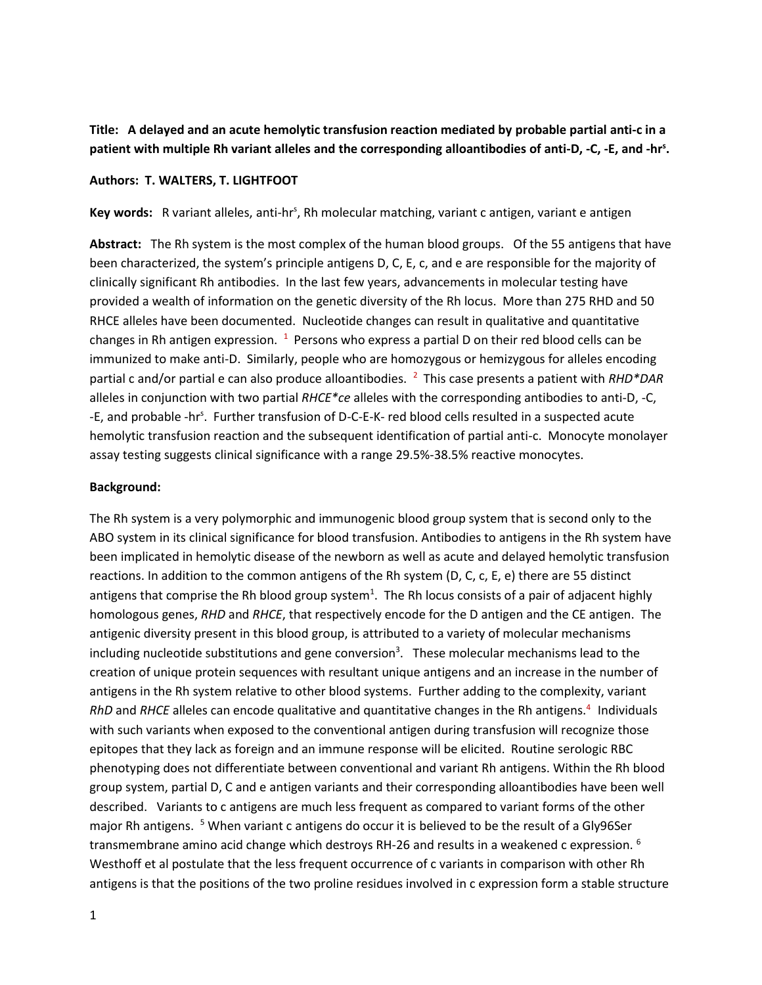**Title: A delayed and an acute hemolytic transfusion reaction mediated by probable partial anti-c in a patient with multiple Rh variant alleles and the corresponding alloantibodies of anti-D, -C, -E, and -hr<sup>s</sup> .**

### **Authors: T. WALTERS, T. LIGHTFOOT**

Key words: R variant alleles, anti-hr<sup>s</sup>, Rh molecular matching, variant c antigen, variant e antigen

**Abstract:** The Rh system is the most complex of the human blood groups. Of the 55 antigens that have been characterized, the system's principle antigens D, C, E, c, and e are responsible for the majority of clinically significant Rh antibodies. In the last few years, advancements in molecular testing have provided a wealth of information on the genetic diversity of the Rh locus. More than 275 RHD and 50 RHCE alleles have been documented. Nucleotide changes can result in qualitative and quantitative changes in Rh antigen expression.  $1$  Persons who express a partial D on their red blood cells can be immunized to make anti-D. Similarly, people who are homozygous or hemizygous for alleles encoding partial c and/or partial e can also produce alloantibodies. <sup>2</sup> This case presents a patient with *RHD\*DAR* alleles in conjunction with two partial *RHCE\*ce* alleles with the corresponding antibodies to anti-D, -C, -E, and probable -hr<sup>s</sup>. Further transfusion of D-C-E-K- red blood cells resulted in a suspected acute hemolytic transfusion reaction and the subsequent identification of partial anti-c. Monocyte monolayer assay testing suggests clinical significance with a range 29.5%-38.5% reactive monocytes.

### **Background:**

The Rh system is a very polymorphic and immunogenic blood group system that is second only to the ABO system in its clinical significance for blood transfusion. Antibodies to antigens in the Rh system have been implicated in hemolytic disease of the newborn as well as acute and delayed hemolytic transfusion reactions. In addition to the common antigens of the Rh system (D, C, c, E, e) there are 55 distinct antigens that comprise the Rh blood group system<sup>1</sup>. The Rh locus consists of a pair of adjacent highly homologous genes, *RHD* and *RHCE*, that respectively encode for the D antigen and the CE antigen. The antigenic diversity present in this blood group, is attributed to a variety of molecular mechanisms including nucleotide substitutions and gene conversion<sup>3</sup>. These molecular mechanisms lead to the creation of unique protein sequences with resultant unique antigens and an increase in the number of antigens in the Rh system relative to other blood systems. Further adding to the complexity, variant RhD and RHCE alleles can encode qualitative and quantitative changes in the Rh antigens.<sup>4</sup> Individuals with such variants when exposed to the conventional antigen during transfusion will recognize those epitopes that they lack as foreign and an immune response will be elicited. Routine serologic RBC phenotyping does not differentiate between conventional and variant Rh antigens. Within the Rh blood group system, partial D, C and e antigen variants and their corresponding alloantibodies have been well described. Variants to c antigens are much less frequent as compared to variant forms of the other major Rh antigens. <sup>5</sup> When variant c antigens do occur it is believed to be the result of a Gly96Ser transmembrane amino acid change which destroys RH-26 and results in a weakened c expression. <sup>6</sup> Westhoff et al postulate that the less frequent occurrence of c variants in comparison with other Rh antigens is that the positions of the two proline residues involved in c expression form a stable structure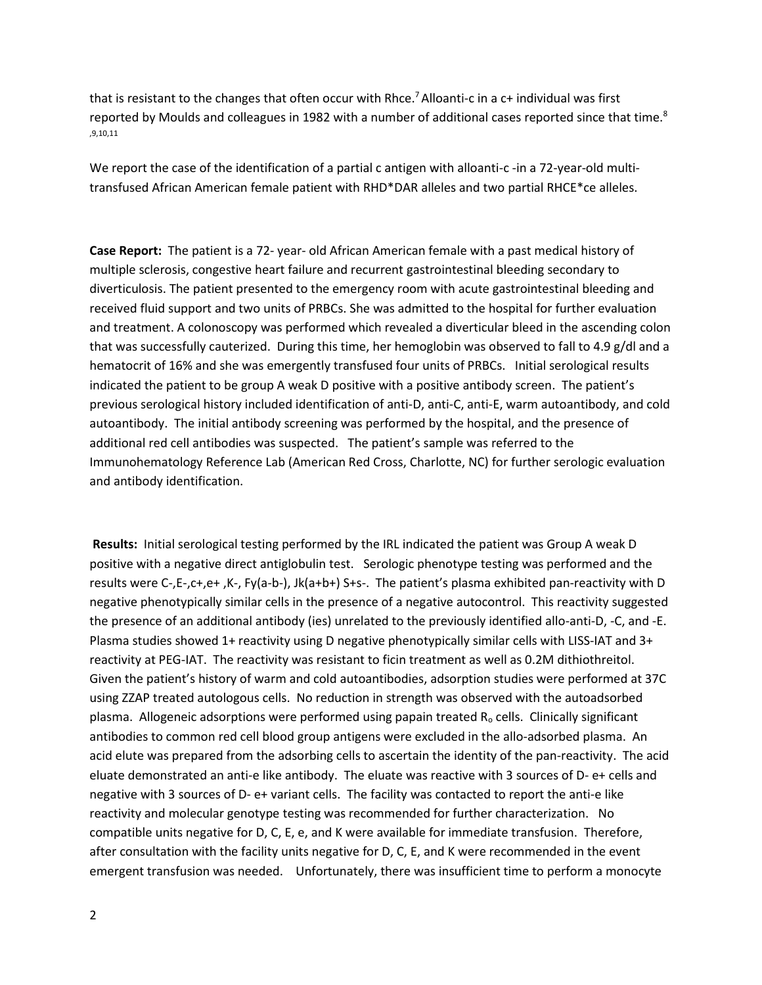that is resistant to the changes that often occur with Rhce.<sup>7</sup> Alloanti-c in a  $c+$  individual was first reported by Moulds and colleagues in 1982 with a number of additional cases reported since that time.<sup>8</sup> ,9,10,11

We report the case of the identification of a partial c antigen with alloanti-c -in a 72-year-old multitransfused African American female patient with RHD\*DAR alleles and two partial RHCE\*ce alleles.

**Case Report:** The patient is a 72- year- old African American female with a past medical history of multiple sclerosis, congestive heart failure and recurrent gastrointestinal bleeding secondary to diverticulosis. The patient presented to the emergency room with acute gastrointestinal bleeding and received fluid support and two units of PRBCs. She was admitted to the hospital for further evaluation and treatment. A colonoscopy was performed which revealed a diverticular bleed in the ascending colon that was successfully cauterized. During this time, her hemoglobin was observed to fall to 4.9 g/dl and a hematocrit of 16% and she was emergently transfused four units of PRBCs. Initial serological results indicated the patient to be group A weak D positive with a positive antibody screen. The patient's previous serological history included identification of anti-D, anti-C, anti-E, warm autoantibody, and cold autoantibody. The initial antibody screening was performed by the hospital, and the presence of additional red cell antibodies was suspected. The patient's sample was referred to the Immunohematology Reference Lab (American Red Cross, Charlotte, NC) for further serologic evaluation and antibody identification.

**Results:** Initial serological testing performed by the IRL indicated the patient was Group A weak D positive with a negative direct antiglobulin test. Serologic phenotype testing was performed and the results were C-,E-,c+,e+ ,K-, Fy(a-b-), Jk(a+b+) S+s-. The patient's plasma exhibited pan-reactivity with D negative phenotypically similar cells in the presence of a negative autocontrol. This reactivity suggested the presence of an additional antibody (ies) unrelated to the previously identified allo-anti-D, -C, and -E. Plasma studies showed 1+ reactivity using D negative phenotypically similar cells with LISS-IAT and 3+ reactivity at PEG-IAT. The reactivity was resistant to ficin treatment as well as 0.2M dithiothreitol. Given the patient's history of warm and cold autoantibodies, adsorption studies were performed at 37C using ZZAP treated autologous cells. No reduction in strength was observed with the autoadsorbed plasma. Allogeneic adsorptions were performed using papain treated R<sub>o</sub> cells. Clinically significant antibodies to common red cell blood group antigens were excluded in the allo-adsorbed plasma. An acid elute was prepared from the adsorbing cells to ascertain the identity of the pan-reactivity. The acid eluate demonstrated an anti-e like antibody. The eluate was reactive with 3 sources of D- e+ cells and negative with 3 sources of D- e+ variant cells. The facility was contacted to report the anti-e like reactivity and molecular genotype testing was recommended for further characterization. No compatible units negative for D, C, E, e, and K were available for immediate transfusion. Therefore, after consultation with the facility units negative for D, C, E, and K were recommended in the event emergent transfusion was needed. Unfortunately, there was insufficient time to perform a monocyte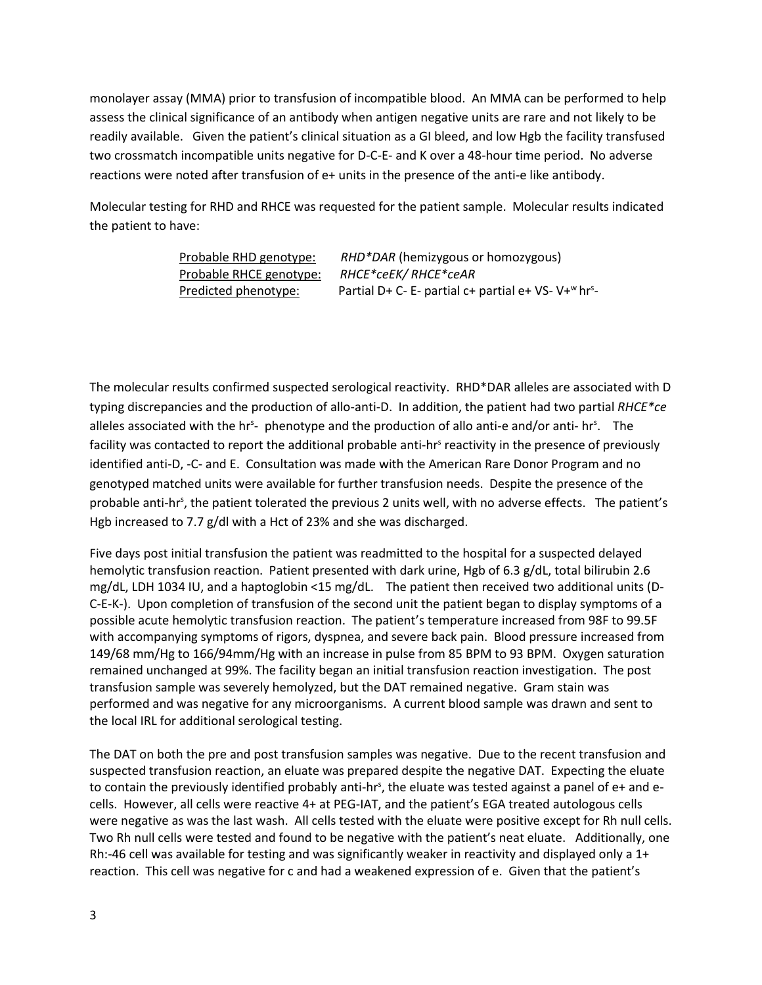monolayer assay (MMA) prior to transfusion of incompatible blood. An MMA can be performed to help assess the clinical significance of an antibody when antigen negative units are rare and not likely to be readily available. Given the patient's clinical situation as a GI bleed, and low Hgb the facility transfused two crossmatch incompatible units negative for D-C-E- and K over a 48-hour time period. No adverse reactions were noted after transfusion of e+ units in the presence of the anti-e like antibody.

Molecular testing for RHD and RHCE was requested for the patient sample. Molecular results indicated the patient to have:

| Probable RHD genotype:  | RHD*DAR (hemizygous or homozygous)                                           |
|-------------------------|------------------------------------------------------------------------------|
| Probable RHCE genotype: | RHCE*ceEK/RHCE*ceAR                                                          |
| Predicted phenotype:    | Partial D+ C- E- partial c+ partial e+ VS- V+ <sup>w</sup> hr <sup>s</sup> - |

The molecular results confirmed suspected serological reactivity. RHD\*DAR alleles are associated with D typing discrepancies and the production of allo-anti-D. In addition, the patient had two partial *RHCE\*ce* alleles associated with the hr<sup>s</sup>- phenotype and the production of allo anti-e and/or anti- hr<sup>s</sup>. The facility was contacted to report the additional probable anti-hr<sup>s</sup> reactivity in the presence of previously identified anti-D, -C- and E. Consultation was made with the American Rare Donor Program and no genotyped matched units were available for further transfusion needs. Despite the presence of the probable anti-hr<sup>s</sup>, the patient tolerated the previous 2 units well, with no adverse effects. The patient's Hgb increased to 7.7 g/dl with a Hct of 23% and she was discharged.

Five days post initial transfusion the patient was readmitted to the hospital for a suspected delayed hemolytic transfusion reaction. Patient presented with dark urine, Hgb of 6.3 g/dL, total bilirubin 2.6 mg/dL, LDH 1034 IU, and a haptoglobin <15 mg/dL. The patient then received two additional units (D-C-E-K-). Upon completion of transfusion of the second unit the patient began to display symptoms of a possible acute hemolytic transfusion reaction. The patient's temperature increased from 98F to 99.5F with accompanying symptoms of rigors, dyspnea, and severe back pain. Blood pressure increased from 149/68 mm/Hg to 166/94mm/Hg with an increase in pulse from 85 BPM to 93 BPM. Oxygen saturation remained unchanged at 99%. The facility began an initial transfusion reaction investigation. The post transfusion sample was severely hemolyzed, but the DAT remained negative. Gram stain was performed and was negative for any microorganisms. A current blood sample was drawn and sent to the local IRL for additional serological testing.

The DAT on both the pre and post transfusion samples was negative. Due to the recent transfusion and suspected transfusion reaction, an eluate was prepared despite the negative DAT. Expecting the eluate to contain the previously identified probably anti-hr<sup>s</sup>, the eluate was tested against a panel of e+ and ecells. However, all cells were reactive 4+ at PEG-IAT, and the patient's EGA treated autologous cells were negative as was the last wash. All cells tested with the eluate were positive except for Rh null cells. Two Rh null cells were tested and found to be negative with the patient's neat eluate. Additionally, one Rh:-46 cell was available for testing and was significantly weaker in reactivity and displayed only a 1+ reaction. This cell was negative for c and had a weakened expression of e. Given that the patient's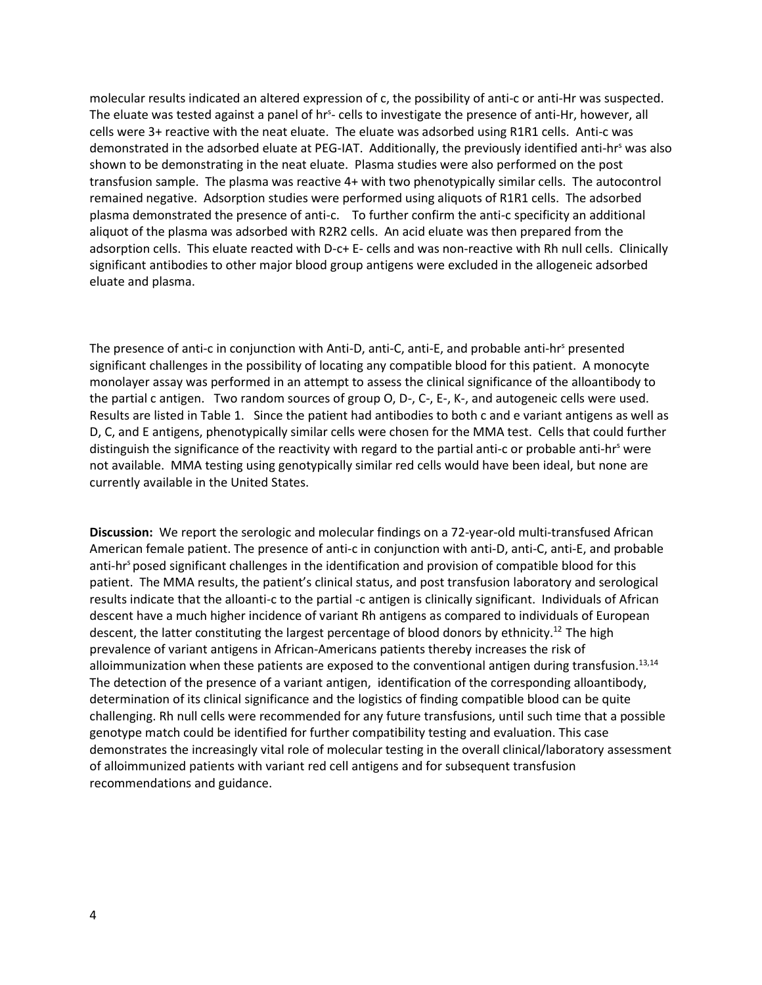molecular results indicated an altered expression of c, the possibility of anti-c or anti-Hr was suspected. The eluate was tested against a panel of hr<sup>s</sup>- cells to investigate the presence of anti-Hr, however, all cells were 3+ reactive with the neat eluate. The eluate was adsorbed using R1R1 cells. Anti-c was demonstrated in the adsorbed eluate at PEG-IAT. Additionally, the previously identified anti-hr<sup>s</sup> was also shown to be demonstrating in the neat eluate. Plasma studies were also performed on the post transfusion sample. The plasma was reactive 4+ with two phenotypically similar cells. The autocontrol remained negative. Adsorption studies were performed using aliquots of R1R1 cells. The adsorbed plasma demonstrated the presence of anti-c. To further confirm the anti-c specificity an additional aliquot of the plasma was adsorbed with R2R2 cells. An acid eluate was then prepared from the adsorption cells. This eluate reacted with D-c+ E- cells and was non-reactive with Rh null cells. Clinically significant antibodies to other major blood group antigens were excluded in the allogeneic adsorbed eluate and plasma.

The presence of anti-c in conjunction with Anti-D, anti-C, anti-E, and probable anti-hr<sup>s</sup> presented significant challenges in the possibility of locating any compatible blood for this patient. A monocyte monolayer assay was performed in an attempt to assess the clinical significance of the alloantibody to the partial c antigen. Two random sources of group O, D-, C-, E-, K-, and autogeneic cells were used. Results are listed in Table 1. Since the patient had antibodies to both c and e variant antigens as well as D, C, and E antigens, phenotypically similar cells were chosen for the MMA test. Cells that could further distinguish the significance of the reactivity with regard to the partial anti-c or probable anti-hr<sup>s</sup> were not available. MMA testing using genotypically similar red cells would have been ideal, but none are currently available in the United States.

**Discussion:** We report the serologic and molecular findings on a 72-year-old multi-transfused African American female patient. The presence of anti-c in conjunction with anti-D, anti-C, anti-E, and probable anti-hr<sup>s</sup> posed significant challenges in the identification and provision of compatible blood for this patient. The MMA results, the patient's clinical status, and post transfusion laboratory and serological results indicate that the alloanti-c to the partial -c antigen is clinically significant. Individuals of African descent have a much higher incidence of variant Rh antigens as compared to individuals of European descent, the latter constituting the largest percentage of blood donors by ethnicity.<sup>12</sup> The high prevalence of variant antigens in African-Americans patients thereby increases the risk of alloimmunization when these patients are exposed to the conventional antigen during transfusion.<sup>13,14</sup> The detection of the presence of a variant antigen, identification of the corresponding alloantibody, determination of its clinical significance and the logistics of finding compatible blood can be quite challenging. Rh null cells were recommended for any future transfusions, until such time that a possible genotype match could be identified for further compatibility testing and evaluation. This case demonstrates the increasingly vital role of molecular testing in the overall clinical/laboratory assessment of alloimmunized patients with variant red cell antigens and for subsequent transfusion recommendations and guidance.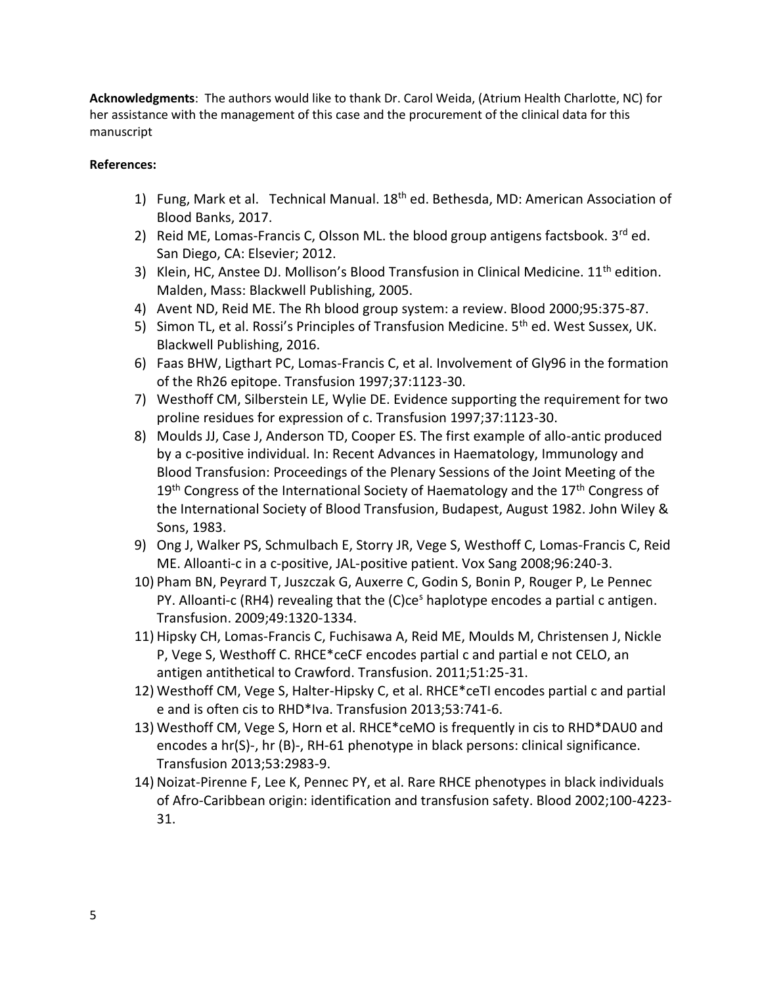**Acknowledgments**: The authors would like to thank Dr. Carol Weida, (Atrium Health Charlotte, NC) for her assistance with the management of this case and the procurement of the clinical data for this manuscript

# **References:**

- 1) Fung, Mark et al. Technical Manual. 18<sup>th</sup> ed. Bethesda, MD: American Association of Blood Banks, 2017.
- 2) Reid ME, Lomas-Francis C, Olsson ML. the blood group antigens factsbook.  $3^{rd}$  ed. San Diego, CA: Elsevier; 2012.
- 3) Klein, HC, Anstee DJ. Mollison's Blood Transfusion in Clinical Medicine. 11<sup>th</sup> edition. Malden, Mass: Blackwell Publishing, 2005.
- 4) Avent ND, Reid ME. The Rh blood group system: a review. Blood 2000;95:375-87.
- 5) Simon TL, et al. Rossi's Principles of Transfusion Medicine. 5<sup>th</sup> ed. West Sussex, UK. Blackwell Publishing, 2016.
- 6) Faas BHW, Ligthart PC, Lomas-Francis C, et al. Involvement of Gly96 in the formation of the Rh26 epitope. Transfusion 1997;37:1123-30.
- 7) Westhoff CM, Silberstein LE, Wylie DE. Evidence supporting the requirement for two proline residues for expression of c. Transfusion 1997;37:1123-30.
- 8) Moulds JJ, Case J, Anderson TD, Cooper ES. The first example of allo-antic produced by a c-positive individual. In: Recent Advances in Haematology, Immunology and Blood Transfusion: Proceedings of the Plenary Sessions of the Joint Meeting of the  $19<sup>th</sup>$  Congress of the International Society of Haematology and the  $17<sup>th</sup>$  Congress of the International Society of Blood Transfusion, Budapest, August 1982. John Wiley & Sons, 1983.
- 9) Ong J, Walker PS, Schmulbach E, Storry JR, Vege S, Westhoff C, Lomas-Francis C, Reid ME. Alloanti-c in a c-positive, JAL-positive patient. Vox Sang 2008;96:240-3.
- 10) Pham BN, Peyrard T, Juszczak G, Auxerre C, Godin S, Bonin P, Rouger P, Le Pennec PY. Alloanti-c (RH4) revealing that the (C)ce<sup>s</sup> haplotype encodes a partial c antigen. Transfusion. 2009;49:1320-1334.
- 11) Hipsky CH, Lomas-Francis C, Fuchisawa A, Reid ME, Moulds M, Christensen J, Nickle P, Vege S, Westhoff C. RHCE\*ceCF encodes partial c and partial e not CELO, an antigen antithetical to Crawford. Transfusion. 2011;51:25-31.
- 12) Westhoff CM, Vege S, Halter-Hipsky C, et al. RHCE\*ceTI encodes partial c and partial e and is often cis to RHD\*Iva. Transfusion 2013;53:741-6.
- 13) Westhoff CM, Vege S, Horn et al. RHCE\*ceMO is frequently in cis to RHD\*DAU0 and encodes a hr(S)-, hr (B)-, RH-61 phenotype in black persons: clinical significance. Transfusion 2013;53:2983-9.
- 14) Noizat-Pirenne F, Lee K, Pennec PY, et al. Rare RHCE phenotypes in black individuals of Afro-Caribbean origin: identification and transfusion safety. Blood 2002;100-4223- 31.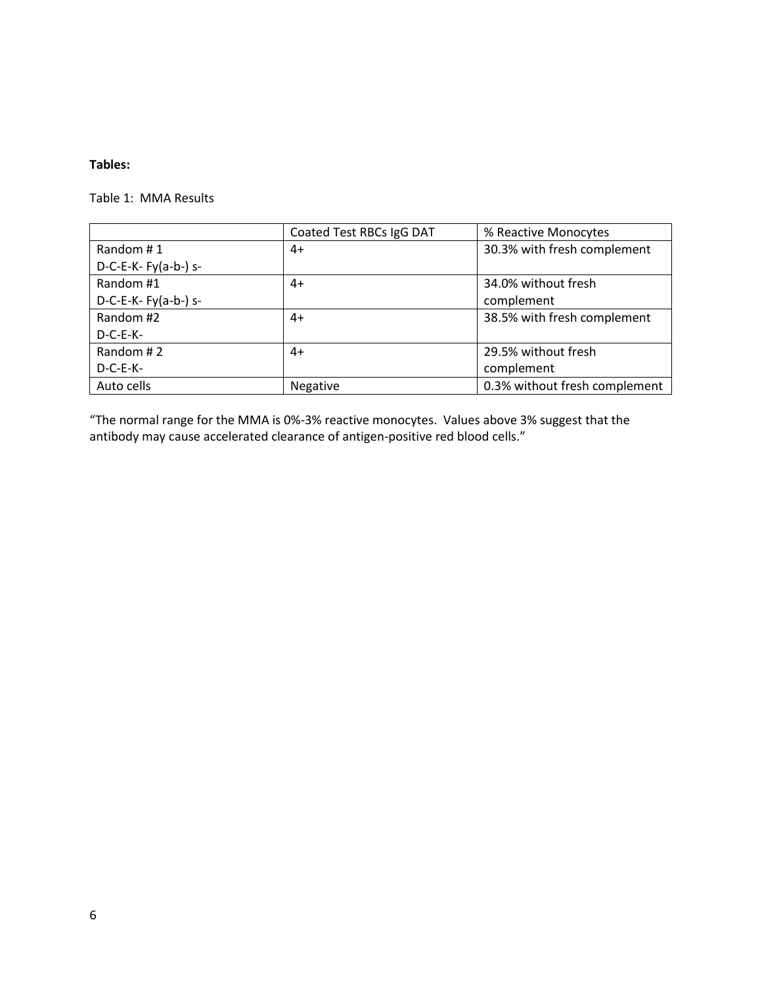## **Tables:**

Table 1: MMA Results

|                      | Coated Test RBCs IgG DAT | % Reactive Monocytes          |
|----------------------|--------------------------|-------------------------------|
| Random #1            | 4+                       | 30.3% with fresh complement   |
| $D-C-E-K-Fy(a-b-)s-$ |                          |                               |
| Random #1            | $4+$                     | 34.0% without fresh           |
| $D-C-E-K-Fy(a-b-)s-$ |                          | complement                    |
| Random #2            | $4+$                     | 38.5% with fresh complement   |
| $D-C-E-K-$           |                          |                               |
| Random #2            | $4+$                     | 29.5% without fresh           |
| $D-C-E-K-$           |                          | complement                    |
| Auto cells           | Negative                 | 0.3% without fresh complement |

"The normal range for the MMA is 0%-3% reactive monocytes. Values above 3% suggest that the antibody may cause accelerated clearance of antigen-positive red blood cells."